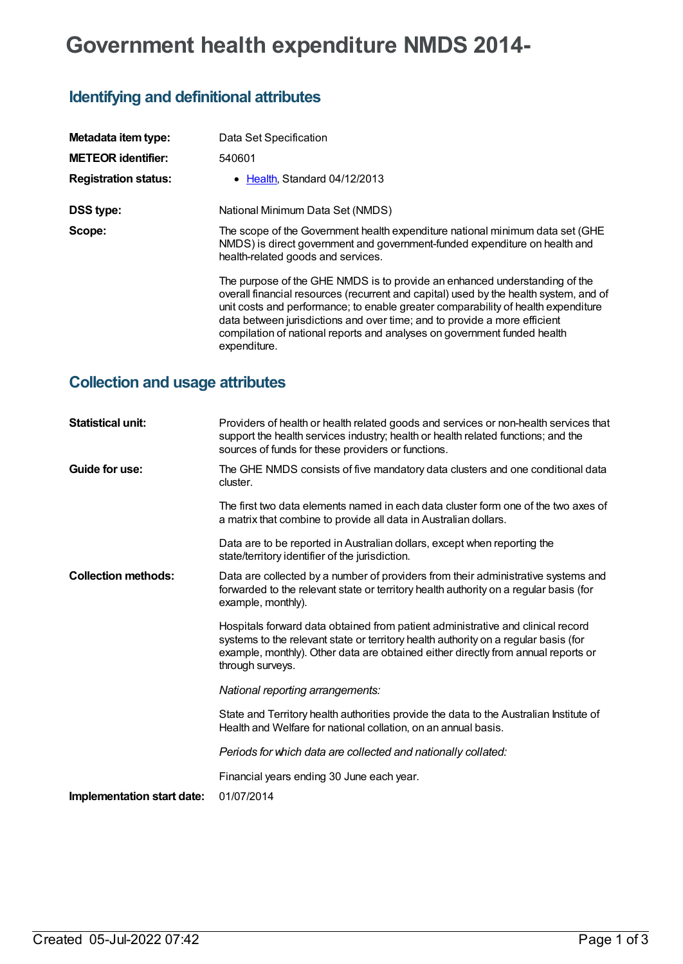# **Government health expenditure NMDS 2014-**

## **Identifying and definitional attributes**

| Metadata item type:         | Data Set Specification                                                                                                                                                                                                                                                                                                                                                                                                            |  |
|-----------------------------|-----------------------------------------------------------------------------------------------------------------------------------------------------------------------------------------------------------------------------------------------------------------------------------------------------------------------------------------------------------------------------------------------------------------------------------|--|
| <b>METEOR identifier:</b>   | 540601                                                                                                                                                                                                                                                                                                                                                                                                                            |  |
| <b>Registration status:</b> | • Health, Standard 04/12/2013                                                                                                                                                                                                                                                                                                                                                                                                     |  |
| <b>DSS type:</b>            | National Minimum Data Set (NMDS)                                                                                                                                                                                                                                                                                                                                                                                                  |  |
| Scope:                      | The scope of the Government health expenditure national minimum data set (GHE<br>NMDS) is direct government and government-funded expenditure on health and<br>health-related goods and services.                                                                                                                                                                                                                                 |  |
|                             | The purpose of the GHE NMDS is to provide an enhanced understanding of the<br>overall financial resources (recurrent and capital) used by the health system, and of<br>unit costs and performance; to enable greater comparability of health expenditure<br>data between jurisdictions and over time; and to provide a more efficient<br>compilation of national reports and analyses on government funded health<br>expenditure. |  |

### **Collection and usage attributes**

| <b>Statistical unit:</b>   | Providers of health or health related goods and services or non-health services that<br>support the health services industry; health or health related functions; and the<br>sources of funds for these providers or functions.                                                 |
|----------------------------|---------------------------------------------------------------------------------------------------------------------------------------------------------------------------------------------------------------------------------------------------------------------------------|
| Guide for use:             | The GHE NMDS consists of five mandatory data clusters and one conditional data<br>cluster.                                                                                                                                                                                      |
|                            | The first two data elements named in each data cluster form one of the two axes of<br>a matrix that combine to provide all data in Australian dollars.                                                                                                                          |
|                            | Data are to be reported in Australian dollars, except when reporting the<br>state/territory identifier of the jurisdiction.                                                                                                                                                     |
| <b>Collection methods:</b> | Data are collected by a number of providers from their administrative systems and<br>forwarded to the relevant state or territory health authority on a regular basis (for<br>example, monthly).                                                                                |
|                            | Hospitals forward data obtained from patient administrative and clinical record<br>systems to the relevant state or territory health authority on a regular basis (for<br>example, monthly). Other data are obtained either directly from annual reports or<br>through surveys. |
|                            | National reporting arrangements:                                                                                                                                                                                                                                                |
|                            | State and Territory health authorities provide the data to the Australian Institute of<br>Health and Welfare for national collation, on an annual basis.                                                                                                                        |
|                            | Periods for which data are collected and nationally collated:                                                                                                                                                                                                                   |
|                            | Financial years ending 30 June each year.                                                                                                                                                                                                                                       |
| Implementation start date: | 01/07/2014                                                                                                                                                                                                                                                                      |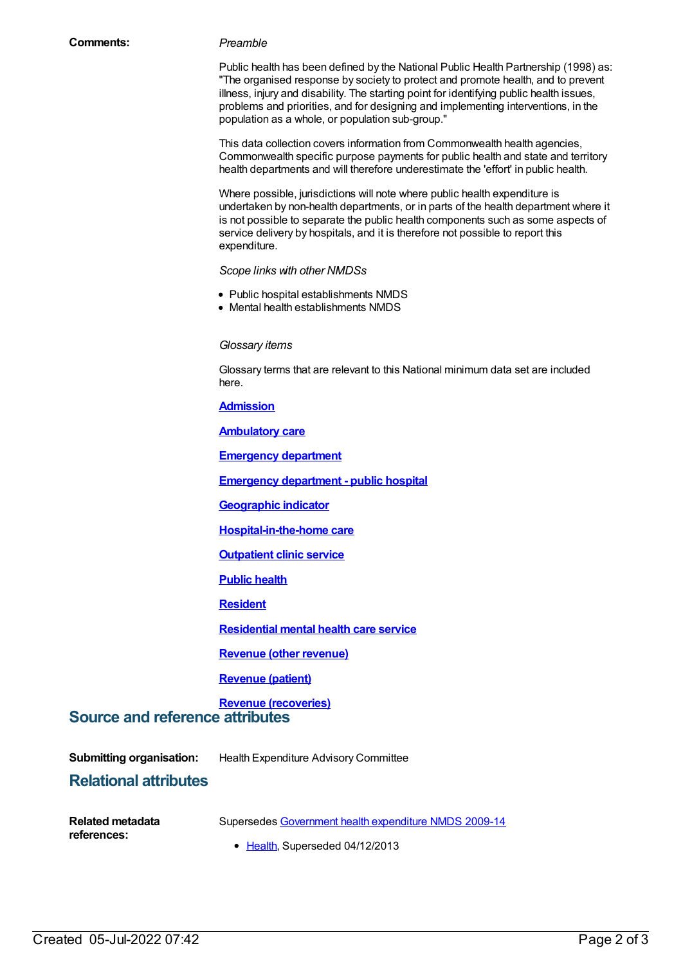Public health has been defined by the National Public Health Partnership (1998) as: "The organised response by society to protect and promote health, and to prevent illness, injury and disability. The starting point for identifying public health issues, problems and priorities, and for designing and implementing interventions, in the population as a whole, or population sub-group."

This data collection covers information from Commonwealth health agencies, Commonwealth specific purpose payments for public health and state and territory health departments and will therefore underestimate the 'effort' in public health.

Where possible, jurisdictions will note where public health expenditure is undertaken by non-health departments, or in parts of the health department where it is not possible to separate the public health components such as some aspects of service delivery by hospitals, and it is therefore not possible to report this expenditure.

#### *Scope links with other NMDSs*

- Public hospital establishments NMDS
- Mental health establishments NMDS

#### *Glossary items*

Glossary terms that are relevant to this National minimum data set are included here.

**[Admission](https://meteor.aihw.gov.au/content/327206)**

**[Ambulatory](https://meteor.aihw.gov.au/content/327206) care**

**[Emergency](https://meteor.aihw.gov.au/content/327158) department**

**Emergency [department](https://meteor.aihw.gov.au/content/327228) - public hospital**

**[Geographic](https://meteor.aihw.gov.au/content/327306) indicator**

**[Hospital-in-the-home](https://meteor.aihw.gov.au/content/327308) care**

**[Outpatient](https://meteor.aihw.gov.au/content/336980) clinic service**

**[Public](https://meteor.aihw.gov.au/content/352234) health**

**[Resident](https://meteor.aihw.gov.au/content/524972)**

**[Residential](https://meteor.aihw.gov.au/content/373049) mental health care service**

**[Revenue](https://meteor.aihw.gov.au/content/357543) (other revenue)**

#### **[Revenue](https://meteor.aihw.gov.au/content/357539) (patient)**

#### **Revenue [\(recoveries\)](https://meteor.aihw.gov.au/content/357541) Source and reference attributes**

**Submitting organisation:** Health Expenditure Advisory Committee

### **Relational attributes**

| Related metadata | Supersedes Government health expenditure NMDS 2009-14 |  |
|------------------|-------------------------------------------------------|--|
|                  |                                                       |  |

**references:**

• [Health](https://meteor.aihw.gov.au/RegistrationAuthority/12), Superseded 04/12/2013